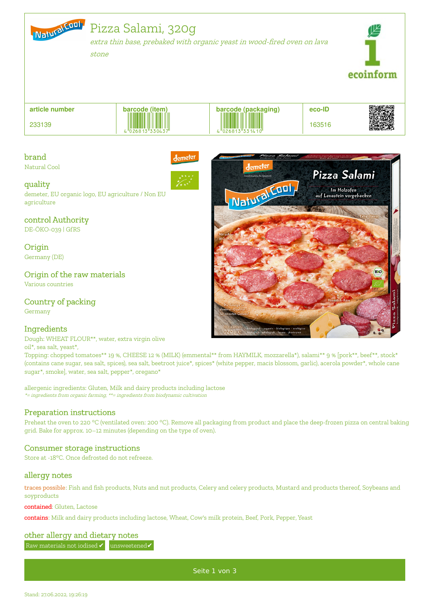

# Pizza Salami, 320g

extra thin base, prebaked with organic yeast in wood-fired oven on lava

stone



**article number** 233139 **barcode (item) barcode (packaging) eco-ID**  $\frac{1}{4}$ 

lemetei

## brand

Natural Cool



demeter, EU organic logo, EU agriculture / Non EU agriculture

## control Authority

DE-ÖKO-039 | GfRS

**Origin** Germany (DE)

## Origin of the raw materials

Various countries

## Country of packing

Germany

## **Ingredients**

Dough: WHEAT FLOUR\*\*, water, extra virgin olive

#### oil\*, sea salt, yeast\*,

Topping: chopped tomatoes\*\* 19 %, CHEESE 12 % (MILK) (emmental\*\* from HAYMILK, mozzarella\*), salami\*\* 9 % [pork\*\*, beef\*\*, stock\* (contains cane sugar, sea salt, spices), sea salt, beetroot juice\*, spices\* (white pepper, macis blossom, garlic), acerola powder\*, whole cane sugar\*, smoke], water, sea salt, pepper\*, oregano\*

allergenic ingredients: Gluten, Milk and dairy products including lactose \*= ingredients from organic farming, \*\*= ingredients from biodynamic cultivation

## Preparation instructions

Preheat the oven to 220 °C (ventilated oven: 200 °C). Remove all packaging from product and place the deep-frozen pizza on central baking grid. Bake for approx. 10–12 minutes (depending on the type of oven).

## Consumer storage instructions

Store at -18°C. Once defrosted do not refreeze.

## allergy notes

traces possible: Fish and fish products, Nuts and nut products, Celery and celery products, Mustard and products thereof, Soybeans and soyproducts

#### contained: Gluten, Lactose

contains: Milk and dairy products including lactose, Wheat, Cow's milk protein, Beef, Pork, Pepper, Yeast

#### other allergy and dietary notes

Raw materials not iodised ✔ unsweetened✔



Seite 1 von 3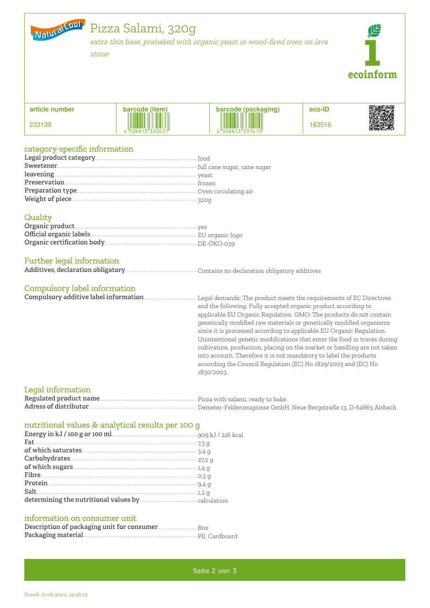

# Pizza Salami, 320g

extra thin base, prebaked with organic yeast in wood-fired oven on lava

stone



| article number | (item<br>code         | 'packaging,<br>oge :           | eco-ID |  |
|----------------|-----------------------|--------------------------------|--------|--|
| 233139         | İ<br>5"330437"<br>.68 | I<br>W<br>.<br>"026813"331410" | 63516  |  |

## category-specific information

## Quality

## Further legal information

|--|--|--|--|--|--|--|--|

## Compulsory label information

and the following. Fully accepted organic product according to applicable EU Organic Regulation. GMO: The products do not contain genetically modified raw materials or genetically modified organisms since it is processed according to applicable EU Organic Regulation. Unintentional genetic modifications that enter the food in traces during cultivation, production, placing on the market or handling are not taken into account. Therefore it is not mandatory to label the products according the Council Regulation (EC) No 1829/2003 and (EC) No 1830/2003.

#### Legal information

## nutritional values & analytical results per 100 g

| $% \mathcal{M}$ of which saturates<br>$% \mathcal{M}$ . $% \mathcal{M}$ and $\mathcal{M}$ |  |
|-------------------------------------------------------------------------------------------|--|
|                                                                                           |  |
|                                                                                           |  |
|                                                                                           |  |
|                                                                                           |  |
|                                                                                           |  |
|                                                                                           |  |

#### information on consumer unit